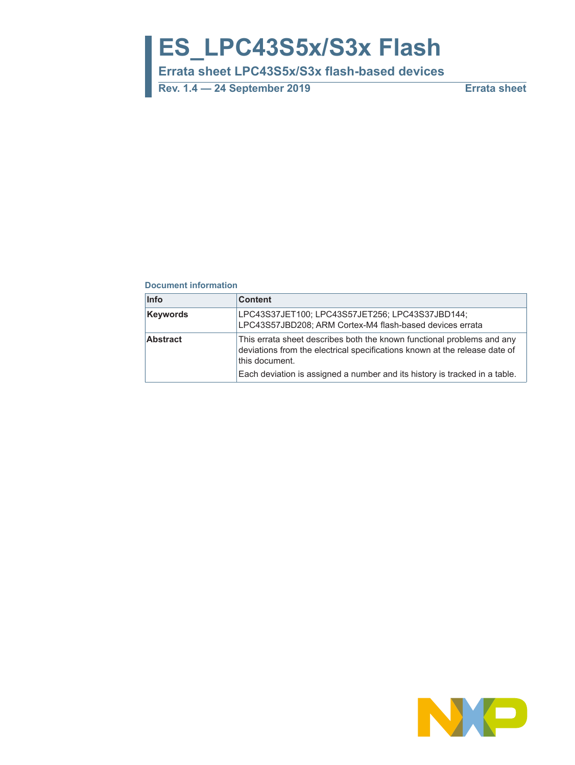# **ES\_LPC43S5x/S3x Flash**

**Errata sheet LPC43S5x/S3x flash-based devices**

**Rev. 1.4 — 24 September 2019 Errata sheet**

#### **Document information**

| <b>Info</b>     | <b>Content</b>                                                                                                                                                         |
|-----------------|------------------------------------------------------------------------------------------------------------------------------------------------------------------------|
| <b>Keywords</b> | LPC43S37JET100; LPC43S57JET256; LPC43S37JBD144;<br>LPC43S57JBD208; ARM Cortex-M4 flash-based devices errata                                                            |
| <b>Abstract</b> | This errata sheet describes both the known functional problems and any<br>deviations from the electrical specifications known at the release date of<br>this document. |
|                 | Each deviation is assigned a number and its history is tracked in a table.                                                                                             |

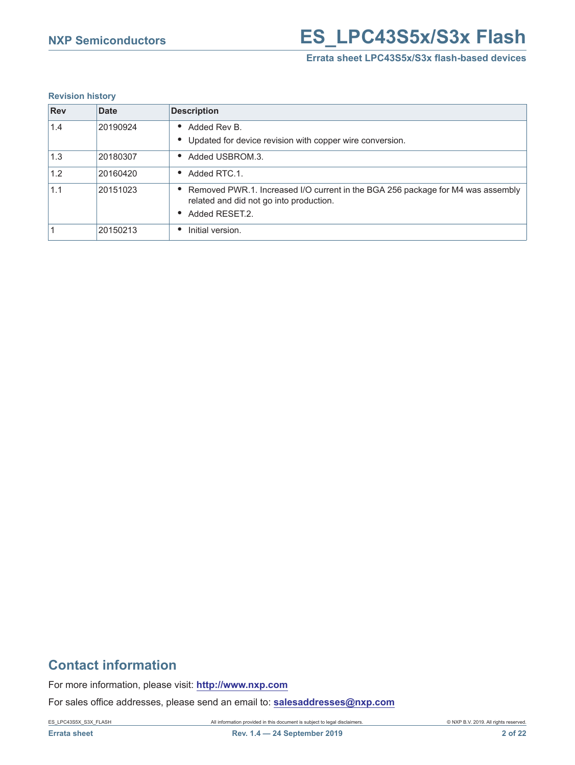## **NXP Semiconductors ES LPC43S5x/S3x Flash**

#### **Errata sheet LPC43S5x/S3x flash-based devices**

#### **Revision history**

| <b>Rev</b> | <b>Date</b> | <b>Description</b>                                                                                                                           |
|------------|-------------|----------------------------------------------------------------------------------------------------------------------------------------------|
| 1.4        | 20190924    | Added Rev B.<br>• Updated for device revision with copper wire conversion.                                                                   |
| 1.3        | 20180307    | Added USBROM.3.                                                                                                                              |
| 1.2        | 20160420    | Added RTC.1.                                                                                                                                 |
| 1.1        | 20151023    | Removed PWR.1. Increased I/O current in the BGA 256 package for M4 was assembly<br>related and did not go into production.<br>Added RESET.2. |
|            | 20150213    | Initial version.                                                                                                                             |

## **Contact information**

For more information, please visit: **http://www.nxp.com**

For sales office addresses, please send an email to: **salesaddresses@nxp.com**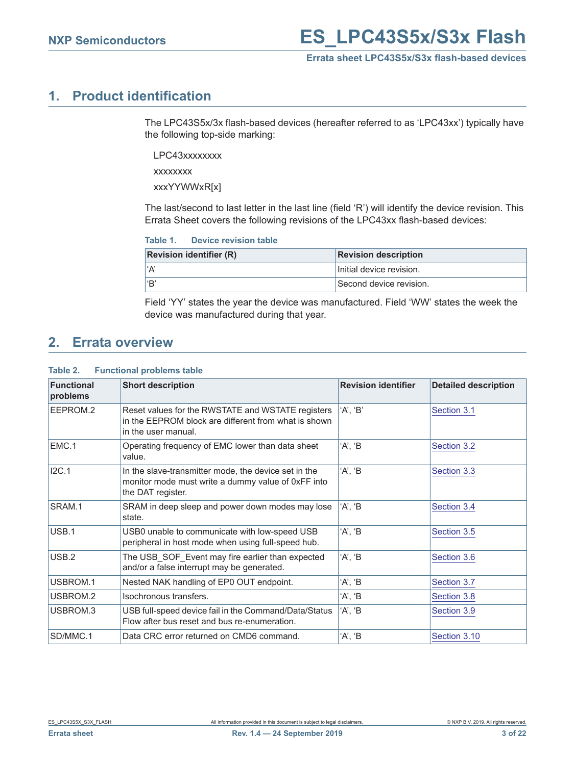## <span id="page-2-0"></span>**1. Product identification**

The LPC43S5x/3x flash-based devices (hereafter referred to as 'LPC43xx') typically have the following top-side marking:

LPC43xxxxxxxx

xxxxxxxx

xxxYYWWxR[x]

The last/second to last letter in the last line (field 'R') will identify the device revision. This Errata Sheet covers the following revisions of the LPC43xx flash-based devices:

| <b>Device revision table</b> | Table 1. |  |  |  |
|------------------------------|----------|--|--|--|
|------------------------------|----------|--|--|--|

| <b>Revision identifier (R)</b> | <b>Revision description</b> |
|--------------------------------|-----------------------------|
| l'A'                           | Initial device revision.    |
| l'B                            | Second device revision.     |

Field 'YY' states the year the device was manufactured. Field 'WW' states the week the device was manufactured during that year.

### <span id="page-2-1"></span>**2. Errata overview**

#### **Table 2. Functional problems table**

| <b>Functional</b><br>problems | <b>Short description</b>                                                                                                         | <b>Revision identifier</b> | <b>Detailed description</b> |
|-------------------------------|----------------------------------------------------------------------------------------------------------------------------------|----------------------------|-----------------------------|
| EEPROM.2                      | Reset values for the RWSTATE and WSTATE registers<br>in the EEPROM block are different from what is shown<br>in the user manual. | 'A', 'B'                   | Section 3.1                 |
| EMC.1                         | Operating frequency of EMC lower than data sheet<br>value.                                                                       | 'A', 'B                    | Section 3.2                 |
| I2C.1                         | In the slave-transmitter mode, the device set in the<br>monitor mode must write a dummy value of 0xFF into<br>the DAT register.  | 'A', 'B                    | Section 3.3                 |
| SRAM.1                        | SRAM in deep sleep and power down modes may lose<br>state.                                                                       | 'A', 'B                    | Section 3.4                 |
| USB.1                         | USB0 unable to communicate with low-speed USB<br>peripheral in host mode when using full-speed hub.                              | 'A', 'B                    | Section 3.5                 |
| USB.2                         | The USB SOF Event may fire earlier than expected<br>and/or a false interrupt may be generated.                                   | 'A', 'B                    | Section 3.6                 |
| USBROM.1                      | Nested NAK handling of EP0 OUT endpoint.                                                                                         | 'A', 'B                    | Section 3.7                 |
| USBROM.2                      | Isochronous transfers.                                                                                                           | 'A', 'B                    | Section 3.8                 |
| USBROM.3                      | USB full-speed device fail in the Command/Data/Status<br>Flow after bus reset and bus re-enumeration.                            | 'A', 'B                    | Section 3.9                 |
| SD/MMC.1                      | Data CRC error returned on CMD6 command.                                                                                         | 'A', 'B                    | Section 3.10                |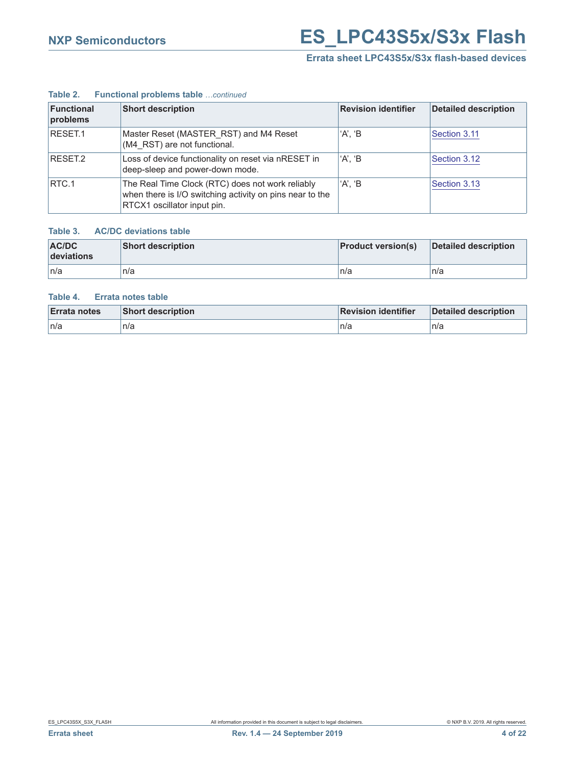#### **Table 2. Functional problems table** *…continued*

| <b>Functional</b><br>problems | <b>Short description</b>                                                                                                                    | <b>Revision identifier</b> | <b>Detailed description</b> |
|-------------------------------|---------------------------------------------------------------------------------------------------------------------------------------------|----------------------------|-----------------------------|
| RESET.1                       | Master Reset (MASTER RST) and M4 Reset<br>(M4 RST) are not functional.                                                                      | 'A', 'B                    | Section 3.11                |
| RESET <sub>2</sub>            | Loss of device functionality on reset via nRESET in<br>deep-sleep and power-down mode.                                                      | 'A'. 'B                    | Section 3.12                |
| RTC.1                         | The Real Time Clock (RTC) does not work reliably<br>when there is I/O switching activity on pins near to the<br>RTCX1 oscillator input pin. | $'A$ . $B$                 | Section 3.13                |

#### **Table 3. AC/DC deviations table**

| AC/DC<br>deviations | <b>Short description</b> | <b>Product version(s)</b> | Detailed description |
|---------------------|--------------------------|---------------------------|----------------------|
| ∣n/a                | n/a                      | n/a                       | n/a                  |

#### **Table 4. Errata notes table**

| <b>Errata notes</b> | <b>Short description</b> | <b>Revision identifier</b> | Detailed description |
|---------------------|--------------------------|----------------------------|----------------------|
| ∣n/a                | n/a                      | n/a                        | n/a                  |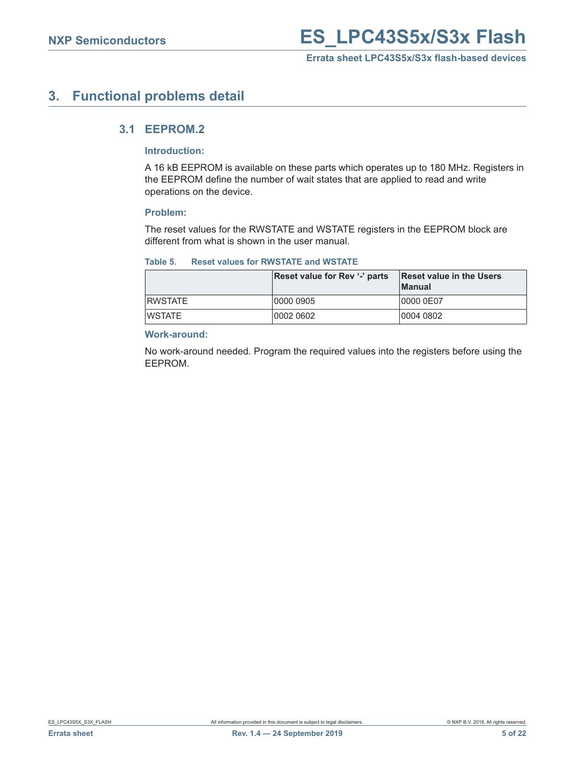### <span id="page-4-1"></span><span id="page-4-0"></span>**3. Functional problems detail**

#### **3.1 EEPROM.2**

#### **Introduction:**

A 16 kB EEPROM is available on these parts which operates up to 180 MHz. Registers in the EEPROM define the number of wait states that are applied to read and write operations on the device.

#### **Problem:**

The reset values for the RWSTATE and WSTATE registers in the EEPROM block are different from what is shown in the user manual.

#### **Table 5. Reset values for RWSTATE and WSTATE**

|                 | Reset value for Rev '-' parts | Reset value in the Users<br><b>Manual</b> |
|-----------------|-------------------------------|-------------------------------------------|
| <b>IRWSTATE</b> | 0000 0905                     | 10000 0E07                                |
| IWSTATE         | 0002 0602                     | 0004 0802                                 |

#### **Work-around:**

No work-around needed. Program the required values into the registers before using the EEPROM.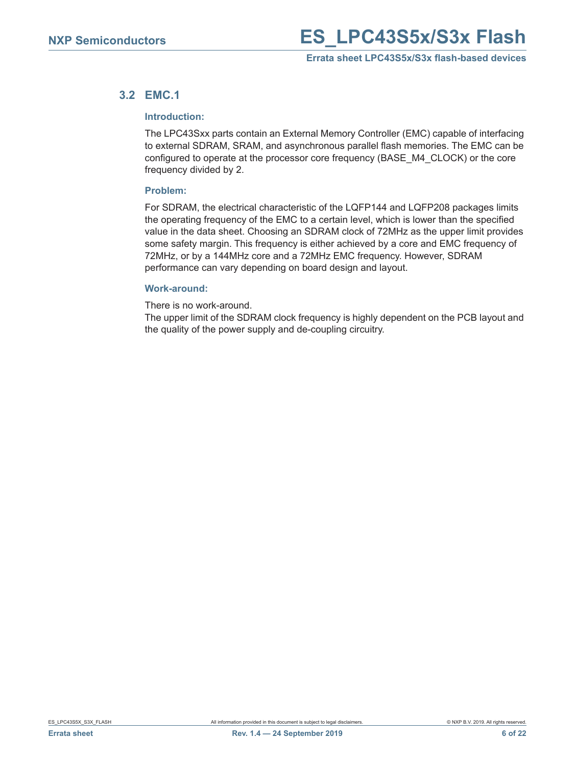#### <span id="page-5-0"></span>**3.2 EMC.1**

#### **Introduction:**

The LPC43Sxx parts contain an External Memory Controller (EMC) capable of interfacing to external SDRAM, SRAM, and asynchronous parallel flash memories. The EMC can be configured to operate at the processor core frequency (BASE\_M4\_CLOCK) or the core frequency divided by 2.

#### **Problem:**

For SDRAM, the electrical characteristic of the LQFP144 and LQFP208 packages limits the operating frequency of the EMC to a certain level, which is lower than the specified value in the data sheet. Choosing an SDRAM clock of 72MHz as the upper limit provides some safety margin. This frequency is either achieved by a core and EMC frequency of 72MHz, or by a 144MHz core and a 72MHz EMC frequency. However, SDRAM performance can vary depending on board design and layout.

#### **Work-around:**

There is no work-around.

The upper limit of the SDRAM clock frequency is highly dependent on the PCB layout and the quality of the power supply and de-coupling circuitry.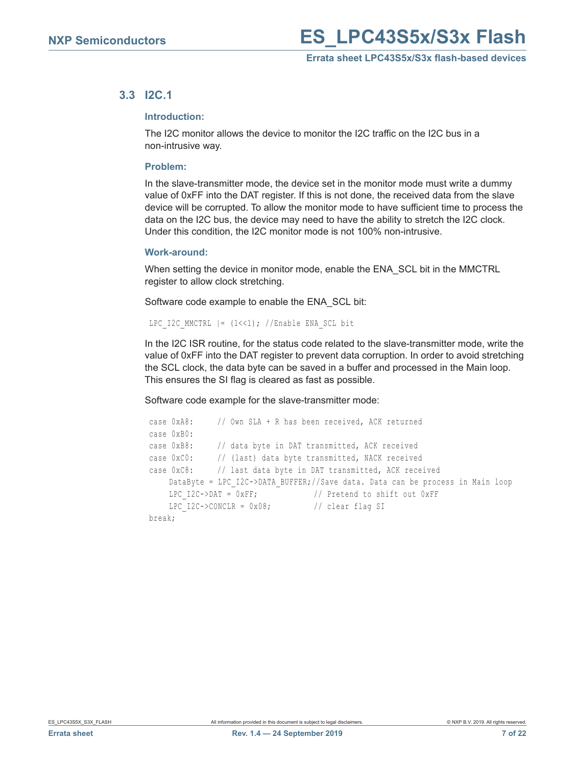#### <span id="page-6-0"></span>**3.3 I2C.1**

#### **Introduction:**

The I2C monitor allows the device to monitor the I2C traffic on the I2C bus in a non-intrusive way.

#### **Problem:**

In the slave-transmitter mode, the device set in the monitor mode must write a dummy value of 0xFF into the DAT register. If this is not done, the received data from the slave device will be corrupted. To allow the monitor mode to have sufficient time to process the data on the I2C bus, the device may need to have the ability to stretch the I2C clock. Under this condition, the I2C monitor mode is not 100% non-intrusive.

#### **Work-around:**

When setting the device in monitor mode, enable the ENA\_SCL bit in the MMCTRL register to allow clock stretching.

Software code example to enable the ENA\_SCL bit:

```
LPC I2C MMCTRL | = (1 \le 1); //Enable ENA SCL bit
```
In the I2C ISR routine, for the status code related to the slave-transmitter mode, write the value of 0xFF into the DAT register to prevent data corruption. In order to avoid stretching the SCL clock, the data byte can be saved in a buffer and processed in the Main loop. This ensures the SI flag is cleared as fast as possible.

Software code example for the slave-transmitter mode:

```
 case 0xA8: // Own SLA + R has been received, ACK returned 
 case 0xB0:
 case 0xB8: // data byte in DAT transmitted, ACK received
 case 0xC0: // (last) data byte transmitted, NACK received
 case 0xC8: // last data byte in DAT transmitted, ACK received
    DataByte = LPC_I2C->DATA_BUFFER;//Save data. Data can be process in Main loop
    LPC I2C->DAT = 0xFF; // Pretend to shift out 0xFF
    LPC I2C->CONCLR = 0x08; // clear flag SI
 break;
```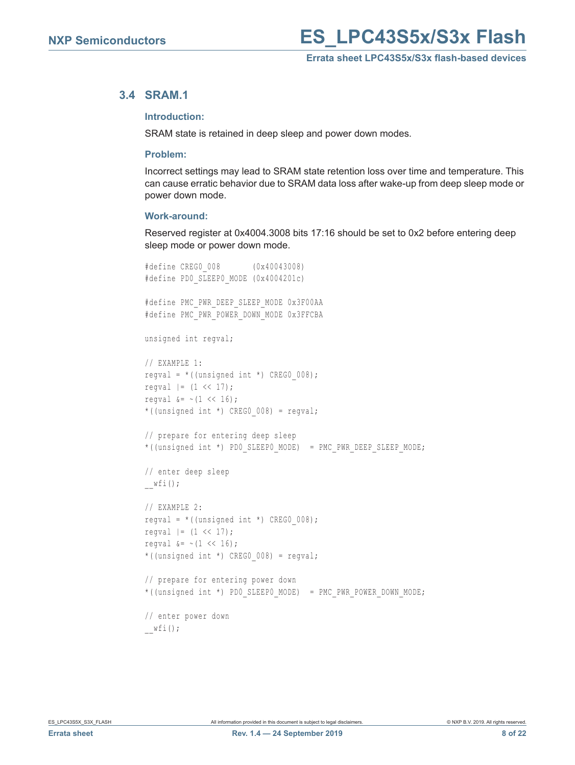#### <span id="page-7-0"></span>**3.4 SRAM.1**

#### **Introduction:**

SRAM state is retained in deep sleep and power down modes.

#### **Problem:**

Incorrect settings may lead to SRAM state retention loss over time and temperature. This can cause erratic behavior due to SRAM data loss after wake-up from deep sleep mode or power down mode.

#### **Work-around:**

Reserved register at 0x4004.3008 bits 17:16 should be set to 0x2 before entering deep sleep mode or power down mode.

```
#define CREG0_008 (0x40043008)
#define PD0 SLEEP0 MODE (0x4004201c)
#define PMC_PWR_DEEP_SLEEP_MODE 0x3F00AA
#define PMC_PWR_POWER_DOWN_MODE 0x3FFCBA
unsigned int regval;
// EXAMPLE 1:
regval = *((unsigned int *) CREG0 008);
regval | = (1 \lt\lt 17);regval \&= \sim (1 << 16);
*((unsigned int *) CREG0 008) = regval;
// prepare for entering deep sleep
*((unsigned int *) PD0_SLEEP0_MODE) = PMC_PWR_DEEP_SLEEP_MODE;
// enter deep sleep
\mathbb{L}wfi();
// EXAMPLE 2: 
reqval = *((unsigned int *) CREG0 008);
regval | = (1 \lt\lt 17);regval \&= \sim (1 << 16);
*((unsigned int *) CREG0 008) = regval;
// prepare for entering power down
*((unsigned int *) PD0_SLEEP0_MODE) = PMC_PWR_POWER_DOWN_MODE;
// enter power down
wfi();
```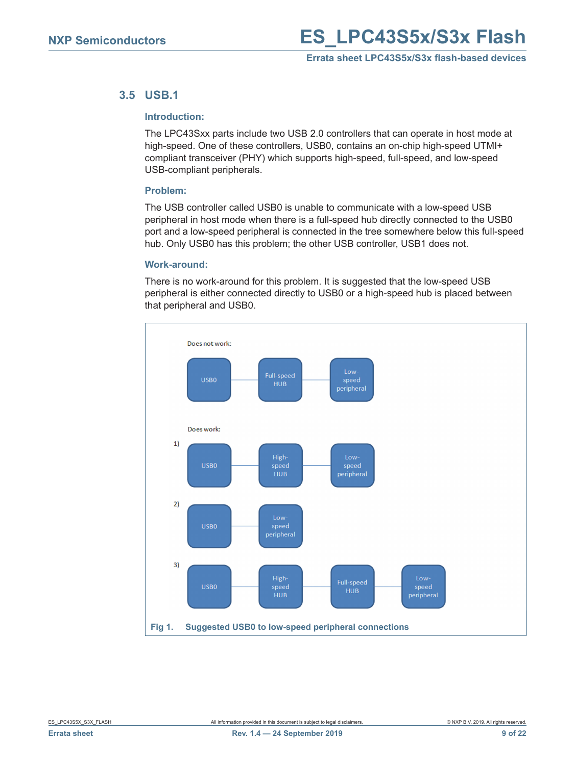#### <span id="page-8-0"></span>**3.5 USB.1**

#### **Introduction:**

The LPC43Sxx parts include two USB 2.0 controllers that can operate in host mode at high-speed. One of these controllers, USB0, contains an on-chip high-speed UTMI+ compliant transceiver (PHY) which supports high-speed, full-speed, and low-speed USB-compliant peripherals.

#### **Problem:**

The USB controller called USB0 is unable to communicate with a low-speed USB peripheral in host mode when there is a full-speed hub directly connected to the USB0 port and a low-speed peripheral is connected in the tree somewhere below this full-speed hub. Only USB0 has this problem; the other USB controller, USB1 does not.

#### **Work-around:**

There is no work-around for this problem. It is suggested that the low-speed USB peripheral is either connected directly to USB0 or a high-speed hub is placed between that peripheral and USB0.

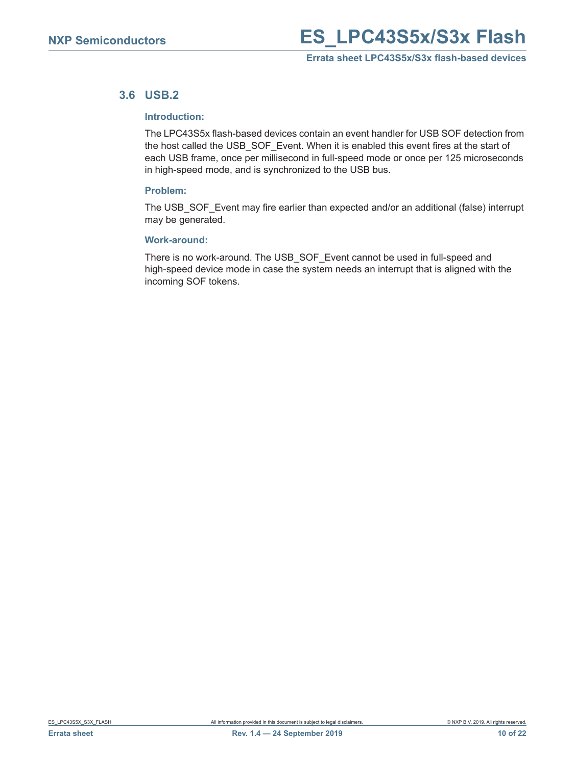#### <span id="page-9-0"></span>**3.6 USB.2**

#### **Introduction:**

The LPC43S5x flash-based devices contain an event handler for USB SOF detection from the host called the USB\_SOF\_Event. When it is enabled this event fires at the start of each USB frame, once per millisecond in full-speed mode or once per 125 microseconds in high-speed mode, and is synchronized to the USB bus.

#### **Problem:**

The USB\_SOF\_Event may fire earlier than expected and/or an additional (false) interrupt may be generated.

#### **Work-around:**

There is no work-around. The USB\_SOF\_Event cannot be used in full-speed and high-speed device mode in case the system needs an interrupt that is aligned with the incoming SOF tokens.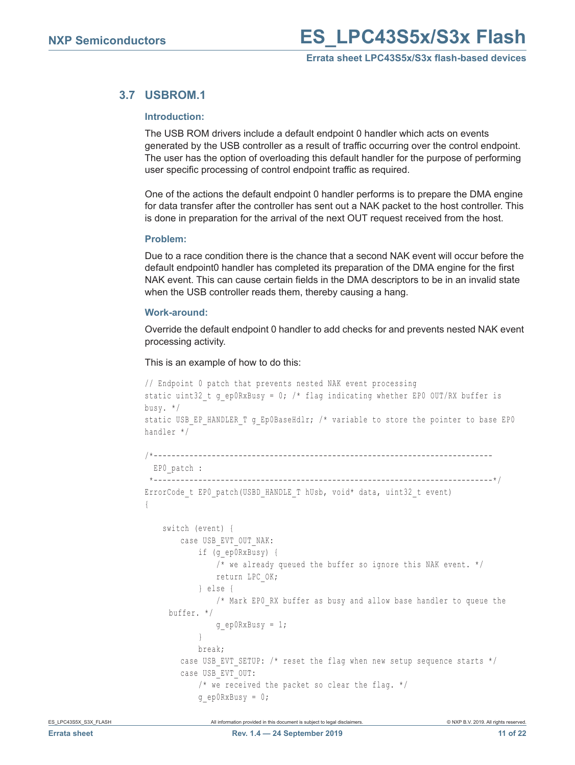#### <span id="page-10-0"></span>**3.7 USBROM.1**

#### **Introduction:**

The USB ROM drivers include a default endpoint 0 handler which acts on events generated by the USB controller as a result of traffic occurring over the control endpoint. The user has the option of overloading this default handler for the purpose of performing user specific processing of control endpoint traffic as required.

One of the actions the default endpoint 0 handler performs is to prepare the DMA engine for data transfer after the controller has sent out a NAK packet to the host controller. This is done in preparation for the arrival of the next OUT request received from the host.

#### **Problem:**

Due to a race condition there is the chance that a second NAK event will occur before the default endpoint0 handler has completed its preparation of the DMA engine for the first NAK event. This can cause certain fields in the DMA descriptors to be in an invalid state when the USB controller reads them, thereby causing a hang.

#### **Work-around:**

Override the default endpoint 0 handler to add checks for and prevents nested NAK event processing activity.

This is an example of how to do this:

```
// Endpoint 0 patch that prevents nested NAK event processing
static uint32 t g ep0RxBusy = 0; /* flag indicating whether EP0 OUT/RX buffer is
busy. */
static USB_EP_HANDLER_T g_Ep0BaseHdlr; /* variable to store the pointer to base EP0
handler */
/*----------------------------------------------------------------------------
 EP0_patch :
  *----------------------------------------------------------------------------*/
ErrorCode t EP0 patch(USBD HANDLE T hUsb, void* data, uint32 t event)
{
     switch (event) {
         case USB_EVT_OUT_NAK:
             if (g_ep0RxBusy) {
                 /* we already queued the buffer so ignore this NAK event. */
                 return LPC_OK;
             } else {
                /* Mark EPO RX buffer as busy and allow base handler to queue the
     buffer. */
                 g_ep0RxBusy = 1;
}
            break;
        case USB EVT SETUP: /* reset the flag when new setup sequence starts */
         case USB_EVT_OUT:
             /* we received the packet so clear the flag. */
            q ep0RxBusy = 0;
```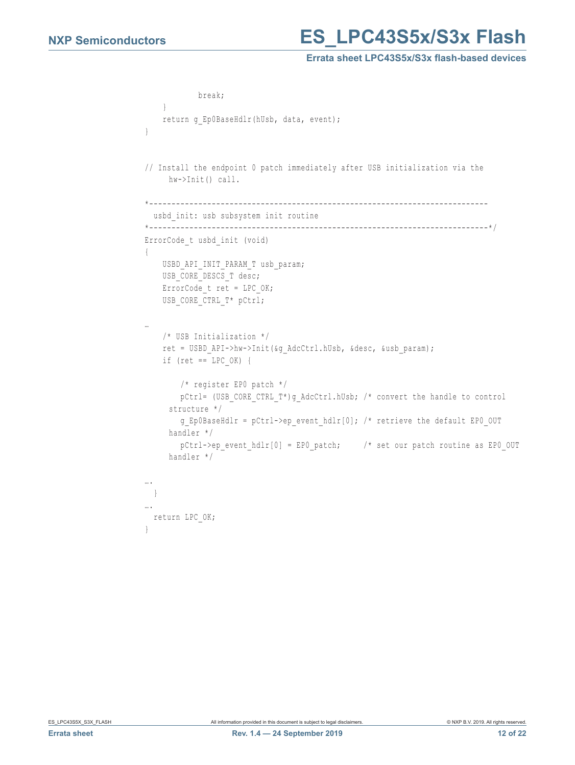## **NXP Semiconductors ES LPC43S5x/S3x Flash**

#### **Errata sheet LPC43S5x/S3x flash-based devices**

```
 break;
     }
    return q Ep0BaseHdlr(hUsb, data, event);
}
// Install the endpoint 0 patch immediately after USB initialization via the 
     hw->Init() call.
*----------------------------------------------------------------------------
 usbd init: usb subsystem init routine
*----------------------------------------------------------------------------*/
ErrorCode_t usbd_init (void) 
{
   USBD API INIT PARAM T usb param;
   USB_CORE_DESCS_T_desc;
   ErrorCode t ret = LPC OK;
   USB_CORE_CTRL_T* pCtrl;
…
    /* USB Initialization */
     ret = USBD_API->hw->Init(&g_AdcCtrl.hUsb, &desc, &usb_param); 
    if (ret == LPC OK) {
         /* register EP0 patch */
       pCtrl= (USB CORE CTRL T*)g AdcCtrl.hUsb; /* convert the handle to control
     structure */
        g Ep0BaseHdlr = pCtrl->ep event_hdlr[0]; /* retrieve the default EPO_OUT
     handler */
        pCtrl->ep_event_hdlr[0] = EP0_patch; /* set our patch routine as EP0_OUT
     handler */
….
 }
….
 return LPC_OK;
}
```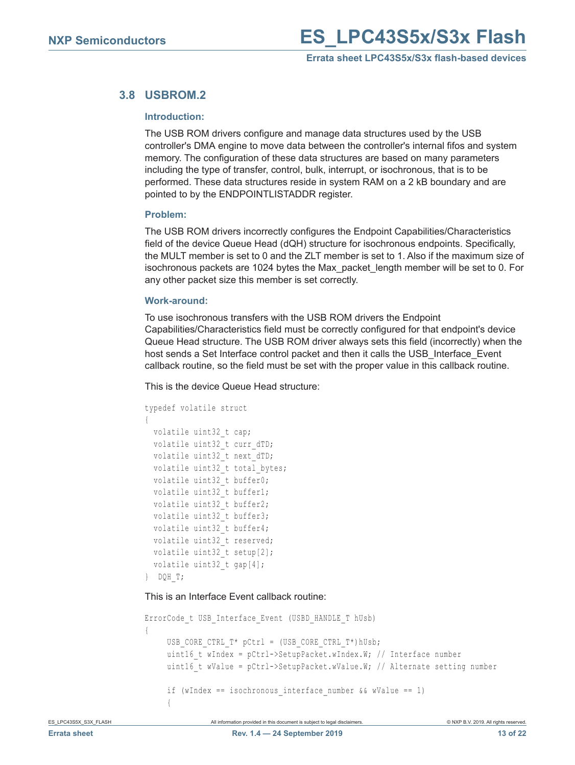#### <span id="page-12-0"></span>**3.8 USBROM.2**

#### **Introduction:**

The USB ROM drivers configure and manage data structures used by the USB controller's DMA engine to move data between the controller's internal fifos and system memory. The configuration of these data structures are based on many parameters including the type of transfer, control, bulk, interrupt, or isochronous, that is to be performed. These data structures reside in system RAM on a 2 kB boundary and are pointed to by the ENDPOINTLISTADDR register.

#### **Problem:**

The USB ROM drivers incorrectly configures the Endpoint Capabilities/Characteristics field of the device Queue Head (dQH) structure for isochronous endpoints. Specifically, the MULT member is set to 0 and the ZLT member is set to 1. Also if the maximum size of isochronous packets are 1024 bytes the Max\_packet\_length member will be set to 0. For any other packet size this member is set correctly.

#### **Work-around:**

To use isochronous transfers with the USB ROM drivers the Endpoint Capabilities/Characteristics field must be correctly configured for that endpoint's device Queue Head structure. The USB ROM driver always sets this field (incorrectly) when the host sends a Set Interface control packet and then it calls the USB Interface Event callback routine, so the field must be set with the proper value in this callback routine.

This is the device Queue Head structure:

```
typedef volatile struct
{
 volatile uint32 t cap;
 volatile uint32 t curr dTD;
  volatile uint32 t next dTD;
  volatile uint32 t total bytes;
  volatile uint32_t buffer0;
   volatile uint32_t buffer1;
  volatile uint32 t buffer2;
  volatile uint32 t buffer3;
 volatile uint32 t buffer4;
   volatile uint32_t reserved;
 volatile uint32 t setup[2];
  volatile uint32 t gap[4];
} DQH_T;
```
This is an Interface Event callback routine:

```
ErrorCode t USB Interface Event (USBD HANDLE T hUsb)
{
     USB CORE CTRL T* pCtrl = (USB CORE CTRL T*)hUsb;
     uint16 t wIndex = pCtrl->SetupPacket.wIndex.W; // Interface number
     uint16 t wValue = pCtrl->SetupPacket.wValue.W; // Alternate setting number
     if (wIndex == isochronous interface number &\& wValue == 1)
\sim \sim \sim \sim
```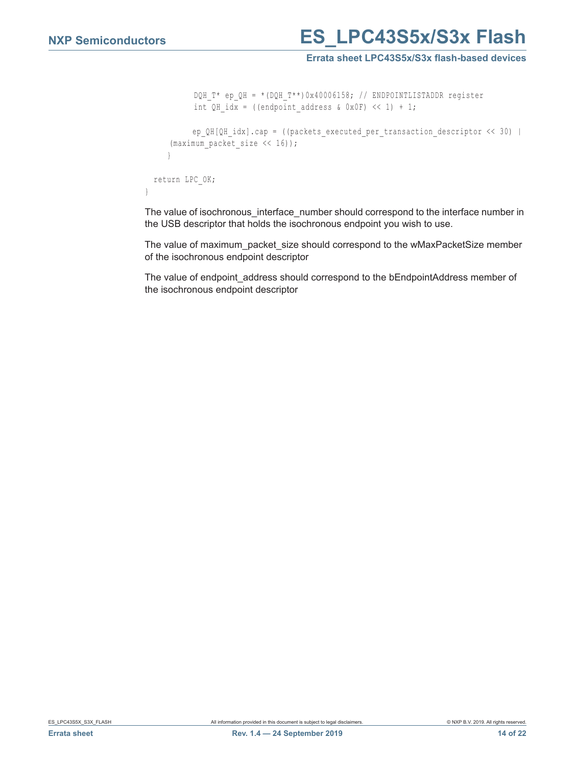## **NXP Semiconductors ES LPC43S5x/S3x Flash**

#### **Errata sheet LPC43S5x/S3x flash-based devices**

```
 DQH_T* ep_QH = *(DQH_T**)0x40006158; // ENDPOINTLISTADDR register
           int QH idx = ((endpoint address & 0x0F) \langle < 1) + 1;
           ep QH[QH idx].cap = ((packets executed per transaction descriptor << 30) |
     (maximum packet size << 16));
      }
  return LPC_OK;
}
```
The value of isochronous\_interface\_number should correspond to the interface number in the USB descriptor that holds the isochronous endpoint you wish to use.

The value of maximum\_packet\_size should correspond to the wMaxPacketSize member of the isochronous endpoint descriptor

The value of endpoint\_address should correspond to the bEndpointAddress member of the isochronous endpoint descriptor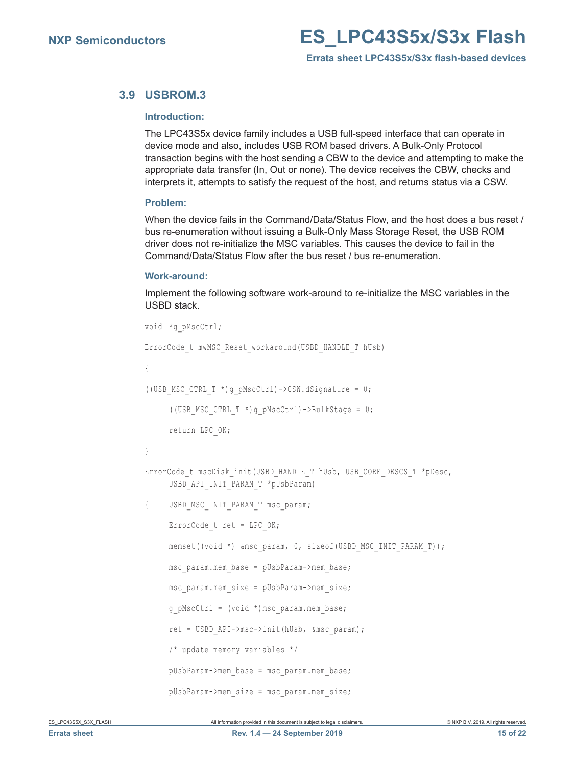### <span id="page-14-0"></span>**3.9 USBROM.3**

#### **Introduction:**

The LPC43S5x device family includes a USB full-speed interface that can operate in device mode and also, includes USB ROM based drivers. A Bulk-Only Protocol transaction begins with the host sending a CBW to the device and attempting to make the appropriate data transfer (In, Out or none). The device receives the CBW, checks and interprets it, attempts to satisfy the request of the host, and returns status via a CSW.

#### **Problem:**

When the device fails in the Command/Data/Status Flow, and the host does a bus reset / bus re-enumeration without issuing a Bulk-Only Mass Storage Reset, the USB ROM driver does not re-initialize the MSC variables. This causes the device to fail in the Command/Data/Status Flow after the bus reset / bus re-enumeration.

#### **Work-around:**

Implement the following software work-around to re-initialize the MSC variables in the USBD stack.

```
void *g_pMscCtrl;
ErrorCode t mwMSC Reset workaround (USBD HANDLE T hUsb)
{
((USB_MSC_CTRL_T *)g_pMscCtrl)->CSW.dSignature = 0;
     ((USB_MSC_CTRL_T *)g_pMscCtrl)->BulkStage = 0;
     return LPC_OK;
}
ErrorCode t mscDisk init(USBD_HANDLE_T hUsb, USB_CORE_DESCS_T *pDesc,
     USBD_API_INIT_PARAM_T *pUsbParam)
{ USBD_MSC_INIT_PARAM_T msc_param;
     ErrorCode t ret = LPC OK;
     memset((void *) &msc_param, 0, sizeof(USBD_MSC_INIT_PARAM_T));
     msc_param.mem_base = pUsbParam->mem_base;
     msc_param.mem_size = pUsbParam->mem_size;
     q pMscCtrl = (void *) msc param.mem base;
     ret = USBD_API->msc->init(hUsb, &msc_param);
     /* update memory variables */
     pUsbParam->mem_base = msc_param.mem_base;
     pUsbParam->mem_size = msc_param.mem_size;
```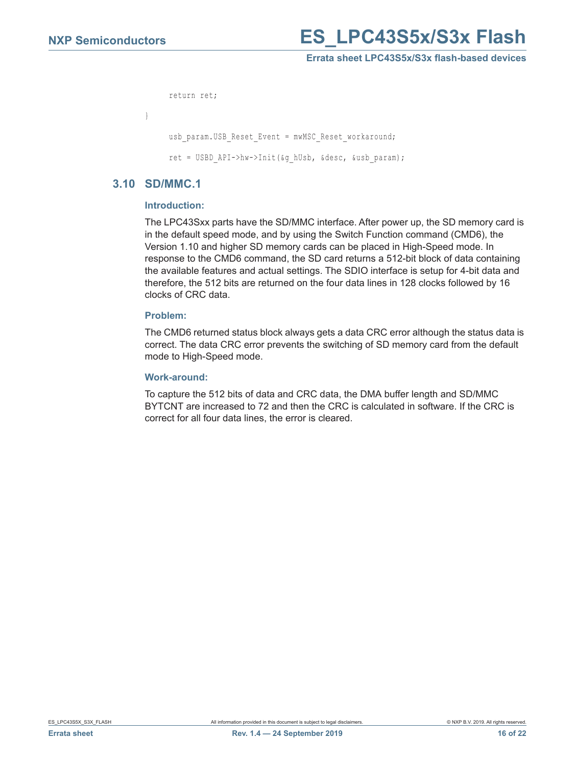## **NXP Semiconductors ES LPC43S5x/S3x Flash**

#### **Errata sheet LPC43S5x/S3x flash-based devices**

```
return ret;
}
     usb_param.USB_Reset_Event = mwMSC_Reset_workaround;
     ret = USBD_API->hw->Init(&g_hUsb, &desc, &usb_param);
```
#### <span id="page-15-0"></span>**3.10 SD/MMC.1**

#### **Introduction:**

The LPC43Sxx parts have the SD/MMC interface. After power up, the SD memory card is in the default speed mode, and by using the Switch Function command (CMD6), the Version 1.10 and higher SD memory cards can be placed in High-Speed mode. In response to the CMD6 command, the SD card returns a 512-bit block of data containing the available features and actual settings. The SDIO interface is setup for 4-bit data and therefore, the 512 bits are returned on the four data lines in 128 clocks followed by 16 clocks of CRC data.

#### **Problem:**

The CMD6 returned status block always gets a data CRC error although the status data is correct. The data CRC error prevents the switching of SD memory card from the default mode to High-Speed mode.

#### **Work-around:**

To capture the 512 bits of data and CRC data, the DMA buffer length and SD/MMC BYTCNT are increased to 72 and then the CRC is calculated in software. If the CRC is correct for all four data lines, the error is cleared.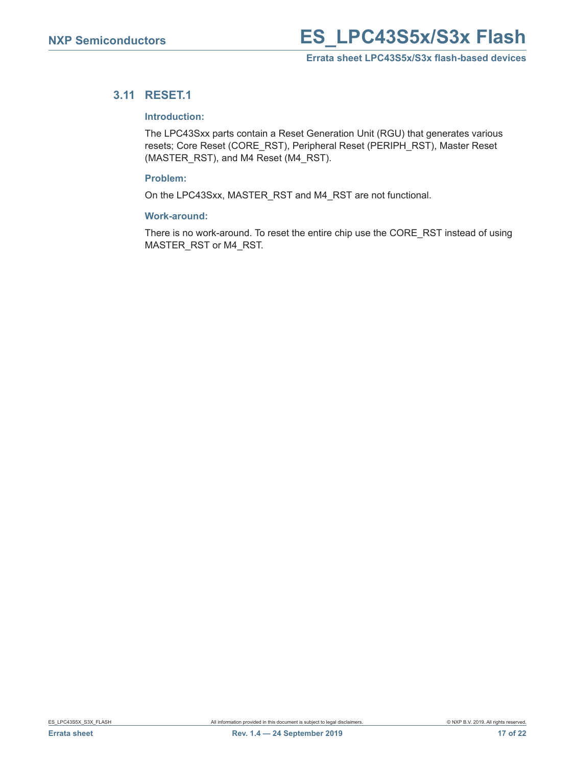#### <span id="page-16-0"></span>**3.11 RESET.1**

#### **Introduction:**

The LPC43Sxx parts contain a Reset Generation Unit (RGU) that generates various resets; Core Reset (CORE\_RST), Peripheral Reset (PERIPH\_RST), Master Reset (MASTER\_RST), and M4 Reset (M4\_RST).

#### **Problem:**

On the LPC43Sxx, MASTER\_RST and M4\_RST are not functional.

#### **Work-around:**

There is no work-around. To reset the entire chip use the CORE\_RST instead of using MASTER\_RST or M4\_RST.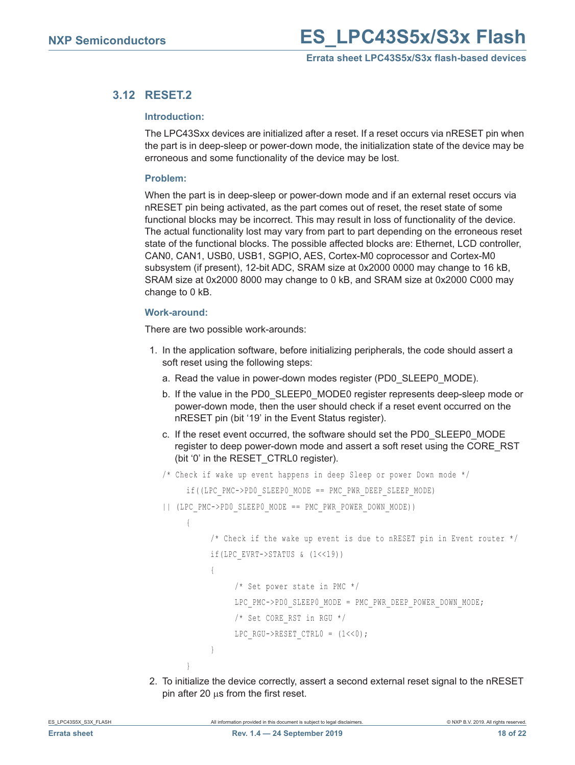### <span id="page-17-0"></span>**3.12 RESET.2**

#### **Introduction:**

The LPC43Sxx devices are initialized after a reset. If a reset occurs via nRESET pin when the part is in deep-sleep or power-down mode, the initialization state of the device may be erroneous and some functionality of the device may be lost.

#### **Problem:**

When the part is in deep-sleep or power-down mode and if an external reset occurs via nRESET pin being activated, as the part comes out of reset, the reset state of some functional blocks may be incorrect. This may result in loss of functionality of the device. The actual functionality lost may vary from part to part depending on the erroneous reset state of the functional blocks. The possible affected blocks are: Ethernet, LCD controller, CAN0, CAN1, USB0, USB1, SGPIO, AES, Cortex-M0 coprocessor and Cortex-M0 subsystem (if present), 12-bit ADC, SRAM size at 0x2000 0000 may change to 16 kB, SRAM size at 0x2000 8000 may change to 0 kB, and SRAM size at 0x2000 C000 may change to 0 kB.

#### **Work-around:**

There are two possible work-arounds:

- 1. In the application software, before initializing peripherals, the code should assert a soft reset using the following steps:
	- a. Read the value in power-down modes register (PD0\_SLEEP0\_MODE).
	- b. If the value in the PD0\_SLEEP0\_MODE0 register represents deep-sleep mode or power-down mode, then the user should check if a reset event occurred on the nRESET pin (bit '19' in the Event Status register).
	- c. If the reset event occurred, the software should set the PD0\_SLEEP0\_MODE register to deep power-down mode and assert a soft reset using the CORE\_RST (bit '0' in the RESET CTRL0 register).

```
/* Check if wake up event happens in deep Sleep or power Down mode */
```

```
if((LPC_PMC->PD0_SLEEP0_MODE == PMC_PWR_DEEP_SLEEP_MODE)
```

```
|| (LPC_PMC->PD0_SLEEP0_MODE == PMC_PWR_POWER_DOWN_MODE))
```

```
\{
```
}

```
/* Check if the wake up event is due to nRESET pin in Event router */
if(LPC_EVRT->STATUS & (1<<19))
{
     /* Set power state in PMC */
     LPC_PMC->PD0_SLEEP0_MODE = PMC_PWR_DEEP_POWER_DOWN_MODE;
     /* Set CORE_RST in RGU */
     LPC RGU->RESET CTRL0 = (1 \le 0);}
```
2. To initialize the device correctly, assert a second external reset signal to the nRESET pin after 20  $\mu$ s from the first reset.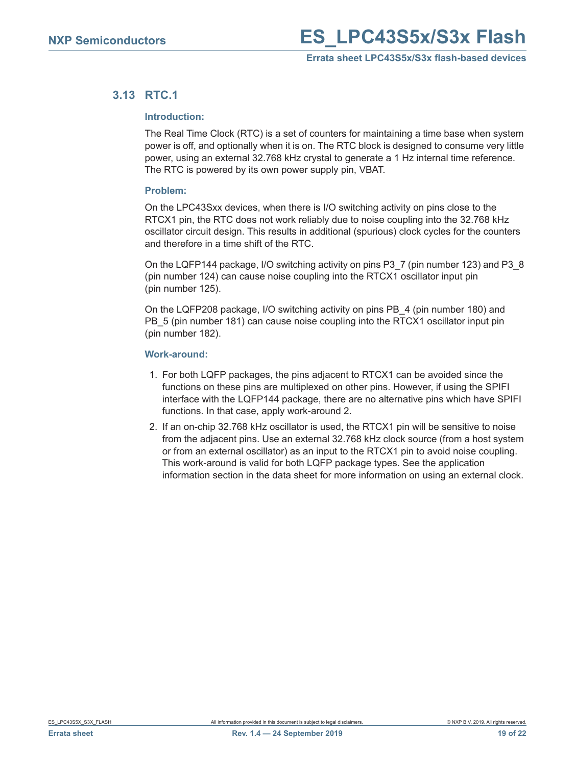#### <span id="page-18-0"></span>**3.13 RTC.1**

#### **Introduction:**

The Real Time Clock (RTC) is a set of counters for maintaining a time base when system power is off, and optionally when it is on. The RTC block is designed to consume very little power, using an external 32.768 kHz crystal to generate a 1 Hz internal time reference. The RTC is powered by its own power supply pin, VBAT.

#### **Problem:**

On the LPC43Sxx devices, when there is I/O switching activity on pins close to the RTCX1 pin, the RTC does not work reliably due to noise coupling into the 32.768 kHz oscillator circuit design. This results in additional (spurious) clock cycles for the counters and therefore in a time shift of the RTC.

On the LQFP144 package, I/O switching activity on pins P3\_7 (pin number 123) and P3\_8 (pin number 124) can cause noise coupling into the RTCX1 oscillator input pin (pin number 125).

On the LQFP208 package, I/O switching activity on pins PB\_4 (pin number 180) and PB 5 (pin number 181) can cause noise coupling into the RTCX1 oscillator input pin (pin number 182).

#### **Work-around:**

- 1. For both LQFP packages, the pins adjacent to RTCX1 can be avoided since the functions on these pins are multiplexed on other pins. However, if using the SPIFI interface with the LQFP144 package, there are no alternative pins which have SPIFI functions. In that case, apply work-around 2.
- 2. If an on-chip 32.768 kHz oscillator is used, the RTCX1 pin will be sensitive to noise from the adjacent pins. Use an external 32.768 kHz clock source (from a host system or from an external oscillator) as an input to the RTCX1 pin to avoid noise coupling. This work-around is valid for both LQFP package types. See the application information section in the data sheet for more information on using an external clock.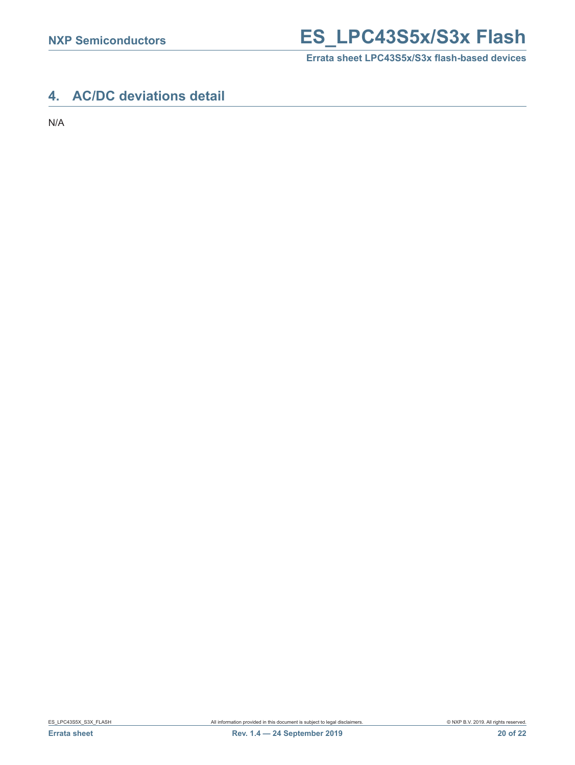## **NXP Semiconductors ES\_LPC43S5x/S3x Flash**

**Errata sheet LPC43S5x/S3x flash-based devices**

## <span id="page-19-0"></span>**4. AC/DC deviations detail**

N/A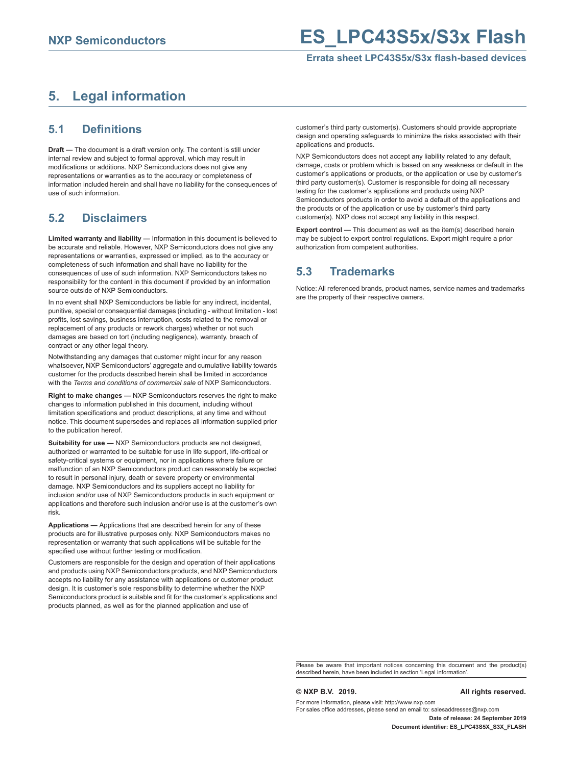## <span id="page-20-0"></span>**5. Legal information**

#### <span id="page-20-1"></span>**5.1 Definitions**

**Draft —** The document is a draft version only. The content is still under internal review and subject to formal approval, which may result in modifications or additions. NXP Semiconductors does not give any representations or warranties as to the accuracy or completeness of information included herein and shall have no liability for the consequences of use of such information.

### <span id="page-20-2"></span>**5.2 Disclaimers**

**Limited warranty and liability —** Information in this document is believed to be accurate and reliable. However, NXP Semiconductors does not give any representations or warranties, expressed or implied, as to the accuracy or completeness of such information and shall have no liability for the consequences of use of such information. NXP Semiconductors takes no responsibility for the content in this document if provided by an information source outside of NXP Semiconductors.

In no event shall NXP Semiconductors be liable for any indirect, incidental, punitive, special or consequential damages (including - without limitation - lost profits, lost savings, business interruption, costs related to the removal or replacement of any products or rework charges) whether or not such damages are based on tort (including negligence), warranty, breach of contract or any other legal theory.

Notwithstanding any damages that customer might incur for any reason whatsoever, NXP Semiconductors' aggregate and cumulative liability towards customer for the products described herein shall be limited in accordance with the *Terms and conditions of commercial sale* of NXP Semiconductors.

**Right to make changes — NXP Semiconductors reserves the right to make** changes to information published in this document, including without limitation specifications and product descriptions, at any time and without notice. This document supersedes and replaces all information supplied prior to the publication hereof.

**Suitability for use —** NXP Semiconductors products are not designed, authorized or warranted to be suitable for use in life support, life-critical or safety-critical systems or equipment, nor in applications where failure or malfunction of an NXP Semiconductors product can reasonably be expected to result in personal injury, death or severe property or environmental damage. NXP Semiconductors and its suppliers accept no liability for inclusion and/or use of NXP Semiconductors products in such equipment or applications and therefore such inclusion and/or use is at the customer's own risk.

**Applications —** Applications that are described herein for any of these products are for illustrative purposes only. NXP Semiconductors makes no representation or warranty that such applications will be suitable for the specified use without further testing or modification.

Customers are responsible for the design and operation of their applications and products using NXP Semiconductors products, and NXP Semiconductors accepts no liability for any assistance with applications or customer product design. It is customer's sole responsibility to determine whether the NXP Semiconductors product is suitable and fit for the customer's applications and products planned, as well as for the planned application and use of

customer's third party customer(s). Customers should provide appropriate design and operating safeguards to minimize the risks associated with their applications and products.

NXP Semiconductors does not accept any liability related to any default, damage, costs or problem which is based on any weakness or default in the customer's applications or products, or the application or use by customer's third party customer(s). Customer is responsible for doing all necessary testing for the customer's applications and products using NXP Semiconductors products in order to avoid a default of the applications and the products or of the application or use by customer's third party customer(s). NXP does not accept any liability in this respect.

**Export control —** This document as well as the item(s) described herein may be subject to export control regulations. Export might require a prior authorization from competent authorities.

### <span id="page-20-3"></span>**5.3 Trademarks**

Notice: All referenced brands, product names, service names and trademarks are the property of their respective owners.

Please be aware that important notices concerning this document and the product(s) described herein, have been included in section 'Legal information'.

#### **© NXP B.V. 2019. All rights reserved.**

For more information, please visit: http://www.nxp.com For sales office addresses, please send an email to: salesaddresses@nxp.com

**Date of release: 24 September 2019 Document identifier: ES\_LPC43S5X\_S3X\_FLASH**